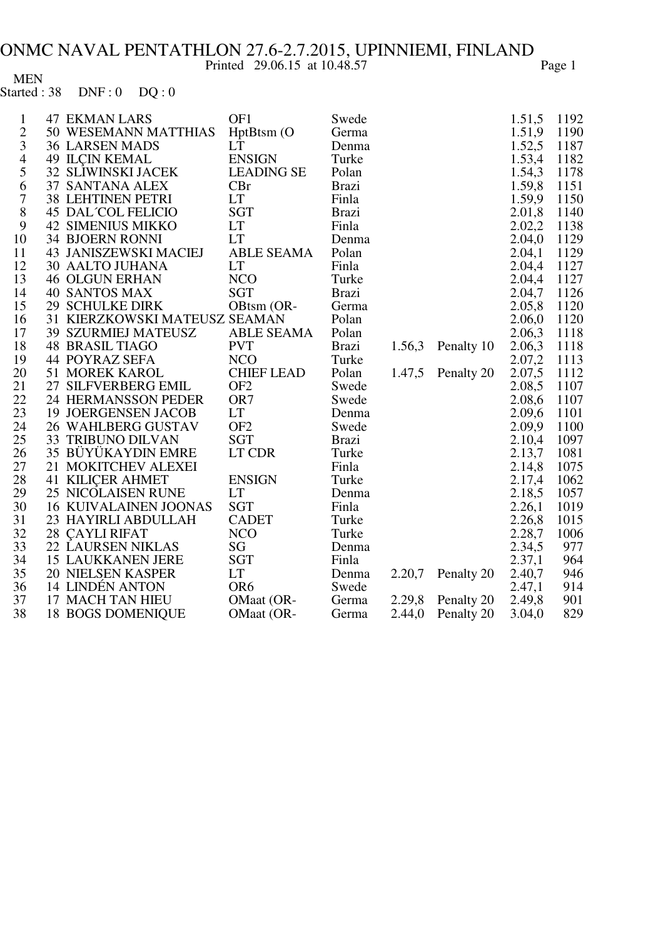Page 1

**MEN**  $DNF:0$   $DQ:0$ Started: 38

| $\mathbf{1}$   | <b>47 EKMAN LARS</b>          | OF1               | Swede        |        |            | 1.51,5 | 1192 |
|----------------|-------------------------------|-------------------|--------------|--------|------------|--------|------|
| $\overline{2}$ | 50 WESEMANN MATTHIAS          | HptBtsm (O        | Germa        |        |            | 1.51,9 | 1190 |
| 3              | <b>36 LARSEN MADS</b>         | <b>LT</b>         | Denma        |        |            | 1.52,5 | 1187 |
| $\overline{4}$ | <b>49 ILÇIN KEMAL</b>         | <b>ENSIGN</b>     | Turke        |        |            | 1.53,4 | 1182 |
| 5              | <b>32 SLIWINSKI JACEK</b>     | <b>LEADING SE</b> | Polan        |        |            | 1.54,3 | 1178 |
| 6              | 37 SANTANA ALEX               | CBr               | <b>Brazi</b> |        |            | 1.59,8 | 1151 |
| $\sqrt{ }$     | <b>38 LEHTINEN PETRI</b>      | <b>LT</b>         | Finla        |        |            | 1.59,9 | 1150 |
| $8\,$          | <b>45 DAL COL FELICIO</b>     | <b>SGT</b>        | <b>Brazi</b> |        |            | 2.01,8 | 1140 |
| 9              | <b>42 SIMENIUS MIKKO</b>      | <b>LT</b>         | Finla        |        |            | 2.02,2 | 1138 |
| 10             | <b>34 BJOERN RONNI</b>        | <b>LT</b>         | Denma        |        |            | 2.04,0 | 1129 |
| 11             | <b>43 JANISZEWSKI MACIEJ</b>  | <b>ABLE SEAMA</b> | Polan        |        |            | 2.04,1 | 1129 |
| 12             | 30 AALTO JUHANA               | <b>LT</b>         | Finla        |        |            | 2.04,4 | 1127 |
| 13             | <b>46 OLGUN ERHAN</b>         | <b>NCO</b>        | Turke        |        |            | 2.04,4 | 1127 |
| 14             | <b>40 SANTOS MAX</b>          | <b>SGT</b>        | <b>Brazi</b> |        |            | 2.04,7 | 1126 |
| 15             | <b>29 SCHULKE DIRK</b>        | OBtsm (OR-        | Germa        |        |            | 2.05,8 | 1120 |
| 16             | 31 KIERZKOWSKI MATEUSZ SEAMAN |                   | Polan        |        |            | 2.06,0 | 1120 |
| 17             | <b>39 SZURMIEJ MATEUSZ</b>    | <b>ABLE SEAMA</b> | Polan        |        |            | 2.06,3 | 1118 |
| 18             | <b>48 BRASIL TIAGO</b>        | <b>PVT</b>        | <b>Brazi</b> | 1.56,3 | Penalty 10 | 2.06,3 | 1118 |
| 19             | 44 POYRAZ SEFA                | <b>NCO</b>        | Turke        |        |            | 2.07,2 | 1113 |
| 20             | 51 MOREK KAROL                | <b>CHIEF LEAD</b> | Polan        | 1.47,5 | Penalty 20 | 2.07,5 | 1112 |
| 21             | 27 SILFVERBERG EMIL           | OF <sub>2</sub>   | Swede        |        |            | 2.08,5 | 1107 |
| 22             | 24 HERMANSSON PEDER           | OR7               | Swede        |        |            | 2.08,6 | 1107 |
| 23             | <b>19 JOERGENSEN JACOB</b>    | <b>LT</b>         | Denma        |        |            | 2.09,6 | 1101 |
| 24             | 26 WAHLBERG GUSTAV            | OF <sub>2</sub>   | Swede        |        |            | 2.09,9 | 1100 |
| 25             | <b>33 TRIBUNO DILVAN</b>      | <b>SGT</b>        | <b>Brazi</b> |        |            | 2.10,4 | 1097 |
| 26             | 35 BÜYÜKAYDIN EMRE            | LT CDR            | Turke        |        |            | 2.13,7 | 1081 |
| 27             | 21 MOKITCHEV ALEXEI           |                   | Finla        |        |            | 2.14,8 | 1075 |
| 28             | <b>41 KILIÇER AHMET</b>       | <b>ENSIGN</b>     | Turke        |        |            | 2.17,4 | 1062 |
| 29             | <b>25 NICOLAISEN RUNE</b>     | <b>LT</b>         | Denma        |        |            | 2.18,5 | 1057 |
| 30             | <b>16 KUIVALAINEN JOONAS</b>  | <b>SGT</b>        | Finla        |        |            | 2.26,1 | 1019 |
| 31             | 23 HAYIRLI ABDULLAH           | <b>CADET</b>      | Turke        |        |            | 2.26,8 | 1015 |
| 32             | 28 ÇAYLI RIFAT                | <b>NCO</b>        | Turke        |        |            | 2.28,7 | 1006 |
| 33             | <b>22 LAURSEN NIKLAS</b>      | SG                | Denma        |        |            | 2.34,5 | 977  |
| 34             | <b>15 LAUKKANEN JERE</b>      | <b>SGT</b>        | Finla        |        |            | 2.37,1 | 964  |
| 35             | <b>20 NIELSEN KASPER</b>      | <b>LT</b>         | Denma        | 2.20,7 | Penalty 20 | 2.40,7 | 946  |
| 36             | 14 LINDÉN ANTON               | OR <sub>6</sub>   | Swede        |        |            | 2.47,1 | 914  |
| 37             | 17 MACH TAN HIEU              | OMaat (OR-        | Germa        | 2.29,8 | Penalty 20 | 2.49,8 | 901  |
| 38             | <b>18 BOGS DOMENIQUE</b>      | OMaat (OR-        | Germa        | 2.44,0 | Penalty 20 | 3.04,0 | 829  |